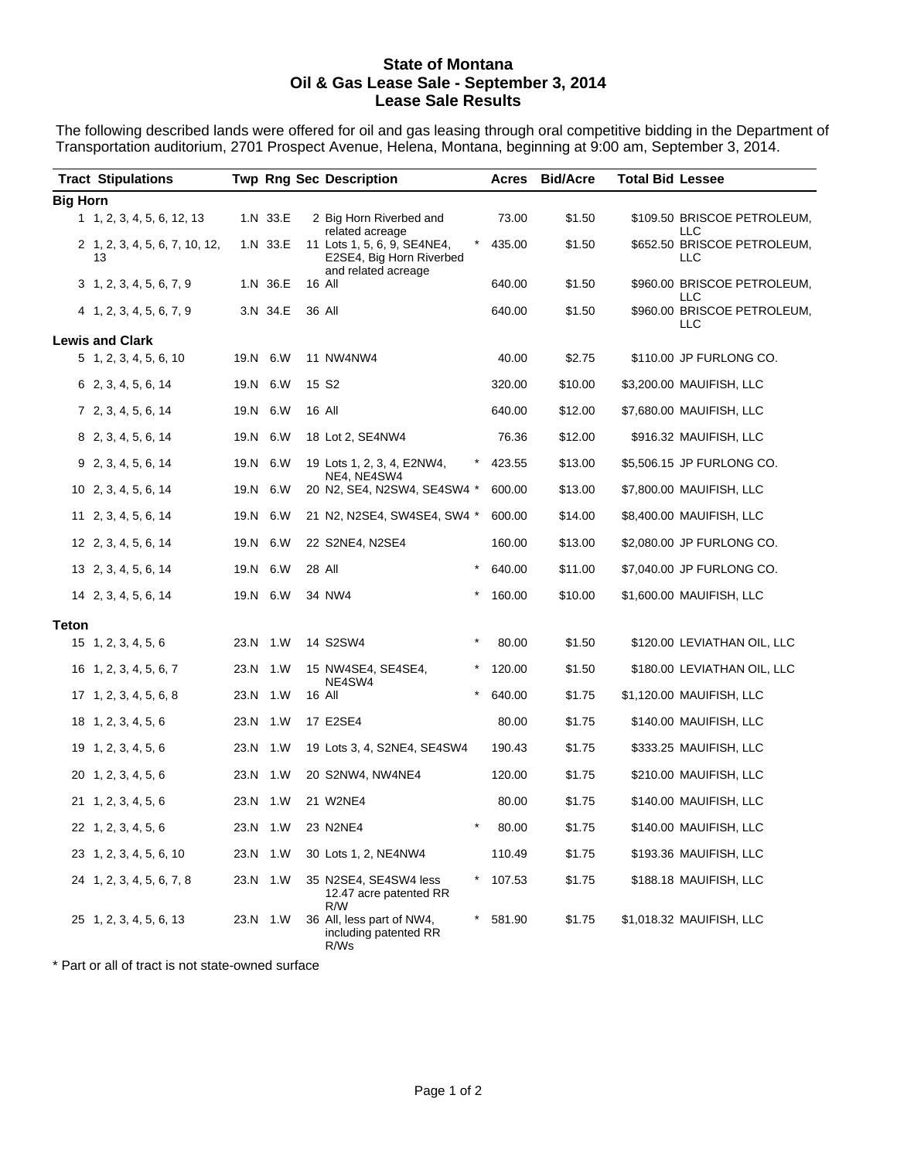### **State of Montana Oil & Gas Lease Sale - September 3, 2014 Lease Sale Results**

The following described lands were offered for oil and gas leasing through oral competitive bidding in the Department of Transportation auditorium, 2701 Prospect Avenue, Helena, Montana, beginning at 9:00 am, September 3, 2014.

|                 | <b>Tract Stipulations</b>            |      |          | <b>Twp Rng Sec Description</b>                                                 |        | Acres  | <b>Bid/Acre</b> | <b>Total Bid Lessee</b> |                                    |
|-----------------|--------------------------------------|------|----------|--------------------------------------------------------------------------------|--------|--------|-----------------|-------------------------|------------------------------------|
|                 |                                      |      |          |                                                                                |        |        |                 |                         |                                    |
| <b>Big Horn</b> | 1, 2, 3, 4, 5, 6, 12, 13             |      | 1.N 33.E | 2 Big Horn Riverbed and<br>related acreage                                     |        | 73.00  | \$1.50          |                         | \$109.50 BRISCOE PETROLEUM,<br>LLC |
|                 | 2 1, 2, 3, 4, 5, 6, 7, 10, 12,<br>13 |      | 1.N 33.E | 11 Lots 1, 5, 6, 9, SE4NE4,<br>E2SE4, Big Horn Riverbed<br>and related acreage |        | 435.00 | \$1.50          |                         | \$652.50 BRISCOE PETROLEUM,<br>LLC |
|                 | 3, 1, 2, 3, 4, 5, 6, 7, 9            |      | 1.N 36.E | 16 All                                                                         |        | 640.00 | \$1.50          |                         | \$960.00 BRISCOE PETROLEUM,<br>LLC |
|                 | $4$ 1, 2, 3, 4, 5, 6, 7, 9           |      | 3.N 34.E | 36 All                                                                         |        | 640.00 | \$1.50          |                         | \$960.00 BRISCOE PETROLEUM,<br>LLC |
|                 | <b>Lewis and Clark</b>               |      |          |                                                                                |        |        |                 |                         |                                    |
|                 | $5\; 1, 2, 3, 4, 5, 6, 10$           |      | 19.N 6.W | 11 NW4NW4                                                                      |        | 40.00  | \$2.75          |                         | \$110.00 JP FURLONG CO.            |
|                 | 6 2, 3, 4, 5, 6, 14                  |      | 19.N 6.W | 15 S <sub>2</sub>                                                              |        | 320.00 | \$10.00         |                         | \$3,200.00 MAUIFISH, LLC           |
|                 | 7 2, 3, 4, 5, 6, 14                  |      | 19.N 6.W | 16 All                                                                         |        | 640.00 | \$12.00         |                         | \$7,680.00 MAUIFISH, LLC           |
|                 | 8 2, 3, 4, 5, 6, 14                  |      | 19.N 6.W | 18 Lot 2, SE4NW4                                                               |        | 76.36  | \$12.00         |                         | \$916.32 MAUIFISH, LLC             |
|                 | 9 2, 3, 4, 5, 6, 14                  |      | 19.N 6.W | 19 Lots 1, 2, 3, 4, E2NW4,<br>NE4, NE4SW4                                      |        | 423.55 | \$13.00         |                         | \$5,506.15 JP FURLONG CO.          |
|                 | 10 2, 3, 4, 5, 6, 14                 |      | 19.N 6.W | 20 N2, SE4, N2SW4, SE4SW4 *                                                    |        | 600.00 | \$13.00         |                         | \$7,800.00 MAUIFISH, LLC           |
|                 | 11 2, 3, 4, 5, 6, 14                 |      | 19.N 6.W | 21 N2, N2SE4, SW4SE4, SW4 *                                                    |        | 600.00 | \$14.00         |                         | \$8,400.00 MAUIFISH, LLC           |
|                 | 12 2, 3, 4, 5, 6, 14                 |      | 19.N 6.W | 22 S2NE4, N2SE4                                                                |        | 160.00 | \$13.00         |                         | \$2,080.00 JP FURLONG CO.          |
|                 | 13 2, 3, 4, 5, 6, 14                 |      | 19.N 6.W | 28 All                                                                         |        | 640.00 | \$11.00         |                         | \$7,040.00 JP FURLONG CO.          |
|                 | 14 2, 3, 4, 5, 6, 14                 |      | 19.N 6.W | 34 NW4<br>$\ast$                                                               |        | 160.00 | \$10.00         |                         | \$1,600.00 MAUIFISH, LLC           |
| <b>Teton</b>    |                                      |      |          |                                                                                |        |        |                 |                         |                                    |
|                 | $15 \quad 1, 2, 3, 4, 5, 6$          |      | 23.N 1.W | $\star$<br>14 S2SW4                                                            |        | 80.00  | \$1.50          |                         | \$120.00 LEVIATHAN OIL, LLC        |
|                 | 16 1, 2, 3, 4, 5, 6, 7               |      | 23.N 1.W | 15 NW4SE4, SE4SE4,<br>NE4SW4                                                   |        | 120.00 | \$1.50          |                         | \$180.00 LEVIATHAN OIL, LLC        |
|                 | $17 \quad 1, 2, 3, 4, 5, 6, 8$       |      | 23.N 1.W | $\star$<br>16 All                                                              |        | 640.00 | \$1.75          |                         | \$1,120.00 MAUIFISH, LLC           |
|                 | 18 1, 2, 3, 4, 5, 6                  |      | 23.N 1.W | 17 E2SE4                                                                       |        | 80.00  | \$1.75          |                         | \$140.00 MAUIFISH, LLC             |
|                 | 19 1, 2, 3, 4, 5, 6                  |      | 23.N 1.W | 19 Lots 3, 4, S2NE4, SE4SW4                                                    |        | 190.43 | \$1.75          |                         | \$333.25 MAUIFISH, LLC             |
|                 | 20 1, 2, 3, 4, 5, 6                  |      | 23.N 1.W | 20 S2NW4, NW4NE4                                                               |        | 120.00 | \$1.75          |                         | \$210.00 MAUIFISH, LLC             |
|                 | 21 1, 2, 3, 4, 5, 6                  |      | 23.N 1.W | 21 W2NE4                                                                       |        | 80.00  | \$1.75          |                         | \$140.00 MAUIFISH, LLC             |
|                 | 22 1, 2, 3, 4, 5, 6                  |      | 23.N 1.W | $^\star$<br>23 N2NE4                                                           |        | 80.00  | \$1.75          |                         | \$140.00 MAUIFISH, LLC             |
|                 | 23 1, 2, 3, 4, 5, 6, 10              | 23.N | 1.W      | 30 Lots 1, 2, NE4NW4                                                           |        | 110.49 | \$1.75          |                         | \$193.36 MAUIFISH, LLC             |
|                 | 24 1, 2, 3, 4, 5, 6, 7, 8            |      | 23.N 1.W | 35 N2SE4, SE4SW4 less<br>12.47 acre patented RR<br>R/W                         | *      | 107.53 | \$1.75          |                         | \$188.18 MAUIFISH, LLC             |
|                 | 25 1, 2, 3, 4, 5, 6, 13              |      | 23.N 1.W | 36 All, less part of NW4,<br>including patented RR<br>R/Ws                     | $\ast$ | 581.90 | \$1.75          |                         | \$1,018.32 MAUIFISH, LLC           |

\* Part or all of tract is not state-owned surface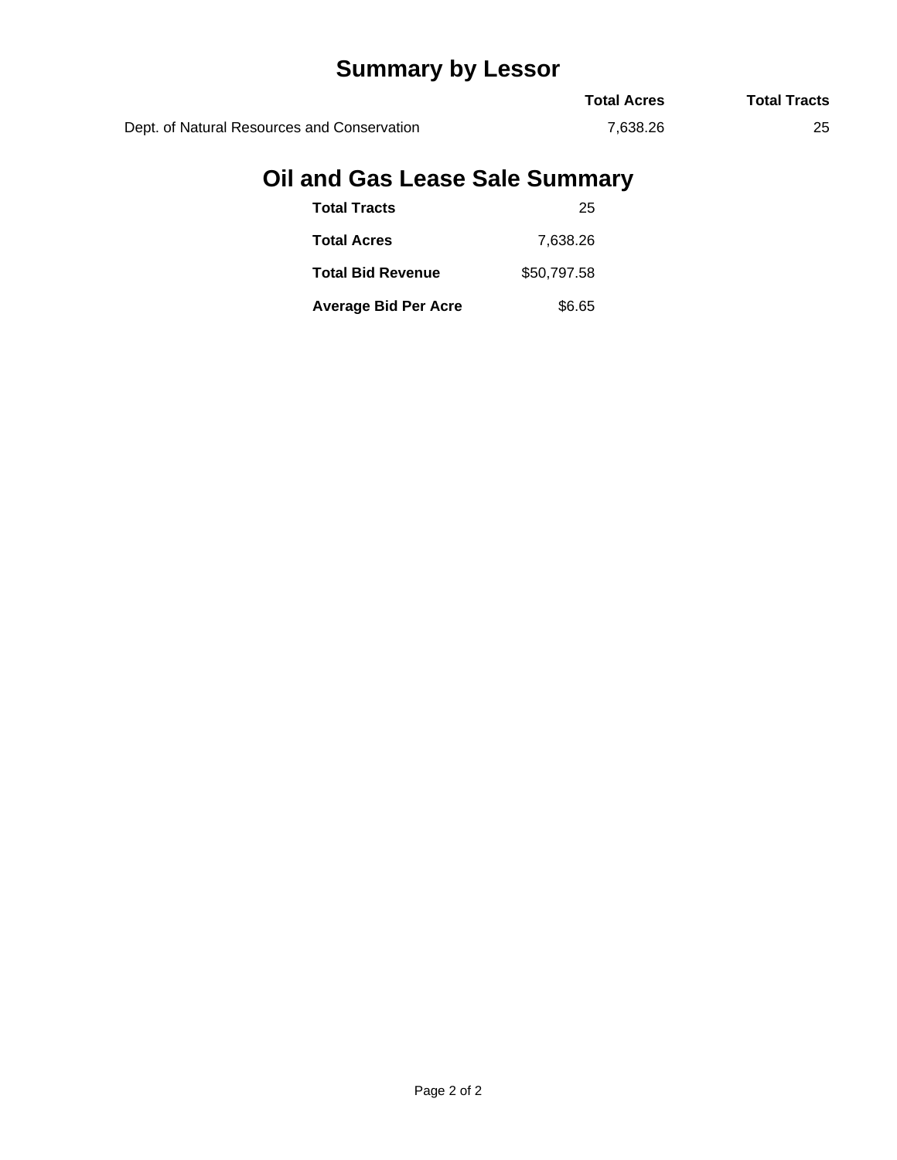# **Summary by Lessor**

|                                             | <b>Total Acres</b> | <b>Total Tracts</b> |
|---------------------------------------------|--------------------|---------------------|
| Dept. of Natural Resources and Conservation | 7.638.26           | 25                  |

# **Oil and Gas Lease Sale Summary**

| <b>Total Tracts</b>         | 25          |
|-----------------------------|-------------|
| <b>Total Acres</b>          | 7.638.26    |
| <b>Total Bid Revenue</b>    | \$50.797.58 |
| <b>Average Bid Per Acre</b> | \$6.65      |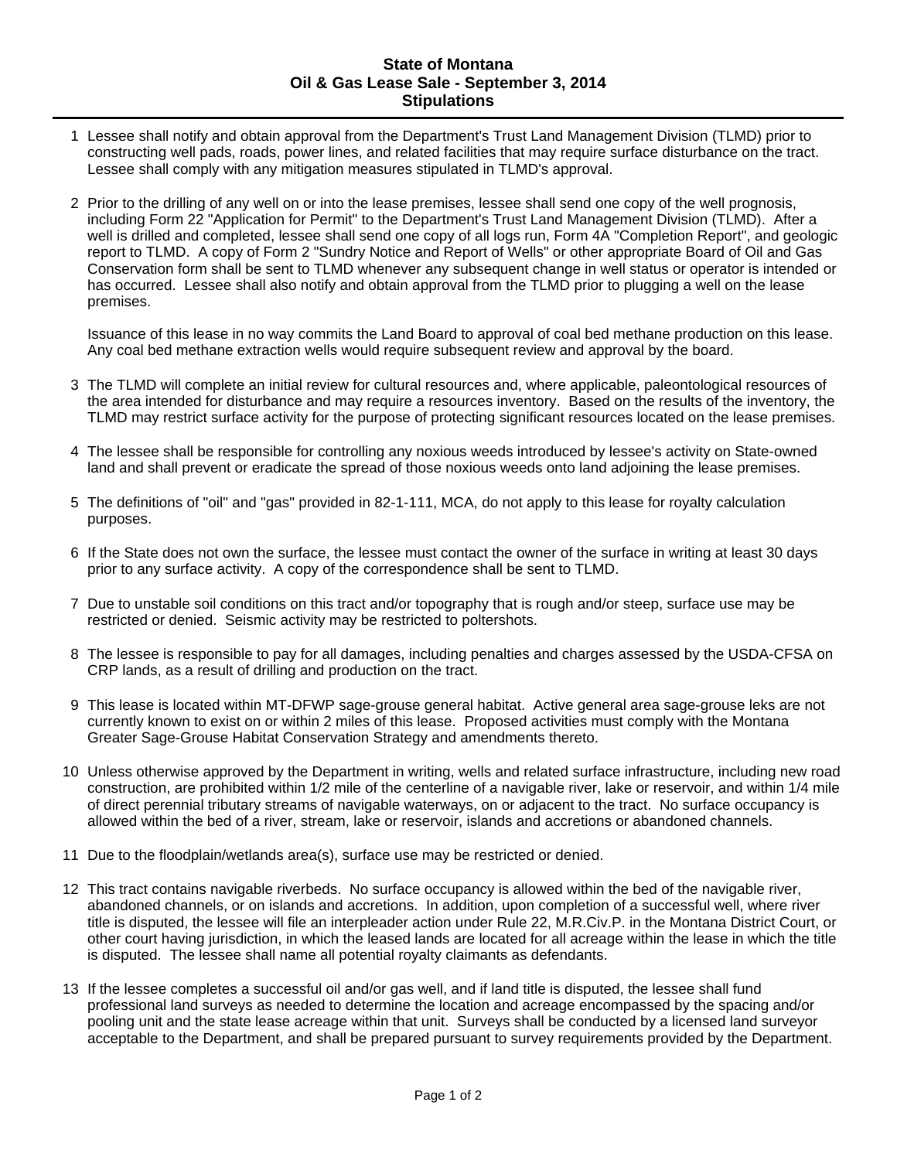### **State of Montana Oil & Gas Lease Sale - September 3, 2014 Stipulations**

- 1 Lessee shall notify and obtain approval from the Department's Trust Land Management Division (TLMD) prior to constructing well pads, roads, power lines, and related facilities that may require surface disturbance on the tract. Lessee shall comply with any mitigation measures stipulated in TLMD's approval.
- 2 Prior to the drilling of any well on or into the lease premises, lessee shall send one copy of the well prognosis, including Form 22 "Application for Permit" to the Department's Trust Land Management Division (TLMD). After a well is drilled and completed, lessee shall send one copy of all logs run, Form 4A "Completion Report", and geologic report to TLMD. A copy of Form 2 "Sundry Notice and Report of Wells" or other appropriate Board of Oil and Gas Conservation form shall be sent to TLMD whenever any subsequent change in well status or operator is intended or has occurred. Lessee shall also notify and obtain approval from the TLMD prior to plugging a well on the lease premises.

Issuance of this lease in no way commits the Land Board to approval of coal bed methane production on this lease. Any coal bed methane extraction wells would require subsequent review and approval by the board.

- 3 The TLMD will complete an initial review for cultural resources and, where applicable, paleontological resources of the area intended for disturbance and may require a resources inventory. Based on the results of the inventory, the TLMD may restrict surface activity for the purpose of protecting significant resources located on the lease premises.
- 4 The lessee shall be responsible for controlling any noxious weeds introduced by lessee's activity on State-owned land and shall prevent or eradicate the spread of those noxious weeds onto land adjoining the lease premises.
- 5 The definitions of "oil" and "gas" provided in 82-1-111, MCA, do not apply to this lease for royalty calculation purposes.
- 6 If the State does not own the surface, the lessee must contact the owner of the surface in writing at least 30 days prior to any surface activity. A copy of the correspondence shall be sent to TLMD.
- 7 Due to unstable soil conditions on this tract and/or topography that is rough and/or steep, surface use may be restricted or denied. Seismic activity may be restricted to poltershots.
- 8 The lessee is responsible to pay for all damages, including penalties and charges assessed by the USDA-CFSA on CRP lands, as a result of drilling and production on the tract.
- 9 This lease is located within MT-DFWP sage-grouse general habitat. Active general area sage-grouse leks are not currently known to exist on or within 2 miles of this lease. Proposed activities must comply with the Montana Greater Sage-Grouse Habitat Conservation Strategy and amendments thereto.
- 10 Unless otherwise approved by the Department in writing, wells and related surface infrastructure, including new road construction, are prohibited within 1/2 mile of the centerline of a navigable river, lake or reservoir, and within 1/4 mile of direct perennial tributary streams of navigable waterways, on or adjacent to the tract. No surface occupancy is allowed within the bed of a river, stream, lake or reservoir, islands and accretions or abandoned channels.
- 11 Due to the floodplain/wetlands area(s), surface use may be restricted or denied.
- 12 This tract contains navigable riverbeds. No surface occupancy is allowed within the bed of the navigable river, abandoned channels, or on islands and accretions. In addition, upon completion of a successful well, where river title is disputed, the lessee will file an interpleader action under Rule 22, M.R.Civ.P. in the Montana District Court, or other court having jurisdiction, in which the leased lands are located for all acreage within the lease in which the title is disputed. The lessee shall name all potential royalty claimants as defendants.
- 13 If the lessee completes a successful oil and/or gas well, and if land title is disputed, the lessee shall fund professional land surveys as needed to determine the location and acreage encompassed by the spacing and/or pooling unit and the state lease acreage within that unit. Surveys shall be conducted by a licensed land surveyor acceptable to the Department, and shall be prepared pursuant to survey requirements provided by the Department.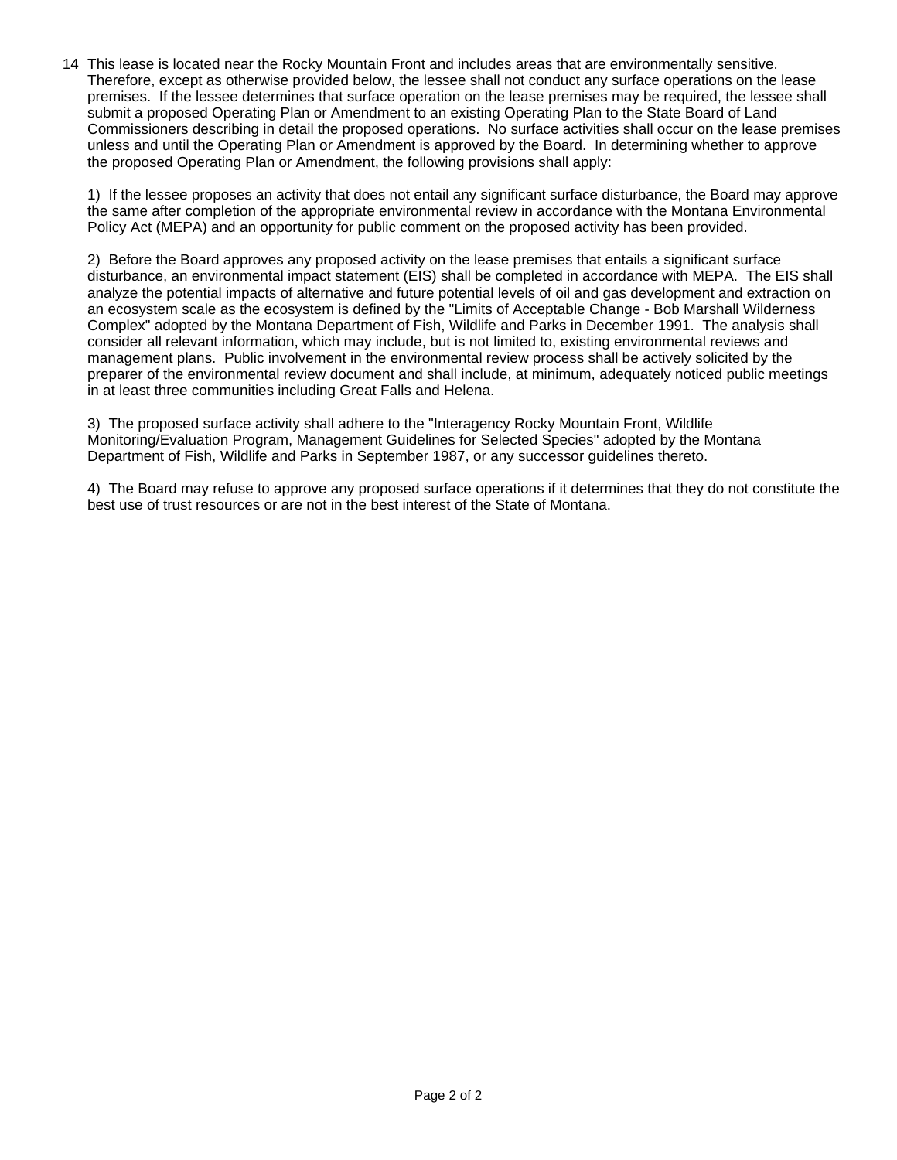14 This lease is located near the Rocky Mountain Front and includes areas that are environmentally sensitive. Therefore, except as otherwise provided below, the lessee shall not conduct any surface operations on the lease premises. If the lessee determines that surface operation on the lease premises may be required, the lessee shall submit a proposed Operating Plan or Amendment to an existing Operating Plan to the State Board of Land Commissioners describing in detail the proposed operations. No surface activities shall occur on the lease premises unless and until the Operating Plan or Amendment is approved by the Board. In determining whether to approve the proposed Operating Plan or Amendment, the following provisions shall apply:

1) If the lessee proposes an activity that does not entail any significant surface disturbance, the Board may approve the same after completion of the appropriate environmental review in accordance with the Montana Environmental Policy Act (MEPA) and an opportunity for public comment on the proposed activity has been provided.

2) Before the Board approves any proposed activity on the lease premises that entails a significant surface disturbance, an environmental impact statement (EIS) shall be completed in accordance with MEPA. The EIS shall analyze the potential impacts of alternative and future potential levels of oil and gas development and extraction on an ecosystem scale as the ecosystem is defined by the "Limits of Acceptable Change - Bob Marshall Wilderness Complex" adopted by the Montana Department of Fish, Wildlife and Parks in December 1991. The analysis shall consider all relevant information, which may include, but is not limited to, existing environmental reviews and management plans. Public involvement in the environmental review process shall be actively solicited by the preparer of the environmental review document and shall include, at minimum, adequately noticed public meetings in at least three communities including Great Falls and Helena.

3) The proposed surface activity shall adhere to the "Interagency Rocky Mountain Front, Wildlife Monitoring/Evaluation Program, Management Guidelines for Selected Species" adopted by the Montana Department of Fish, Wildlife and Parks in September 1987, or any successor guidelines thereto.

4) The Board may refuse to approve any proposed surface operations if it determines that they do not constitute the best use of trust resources or are not in the best interest of the State of Montana.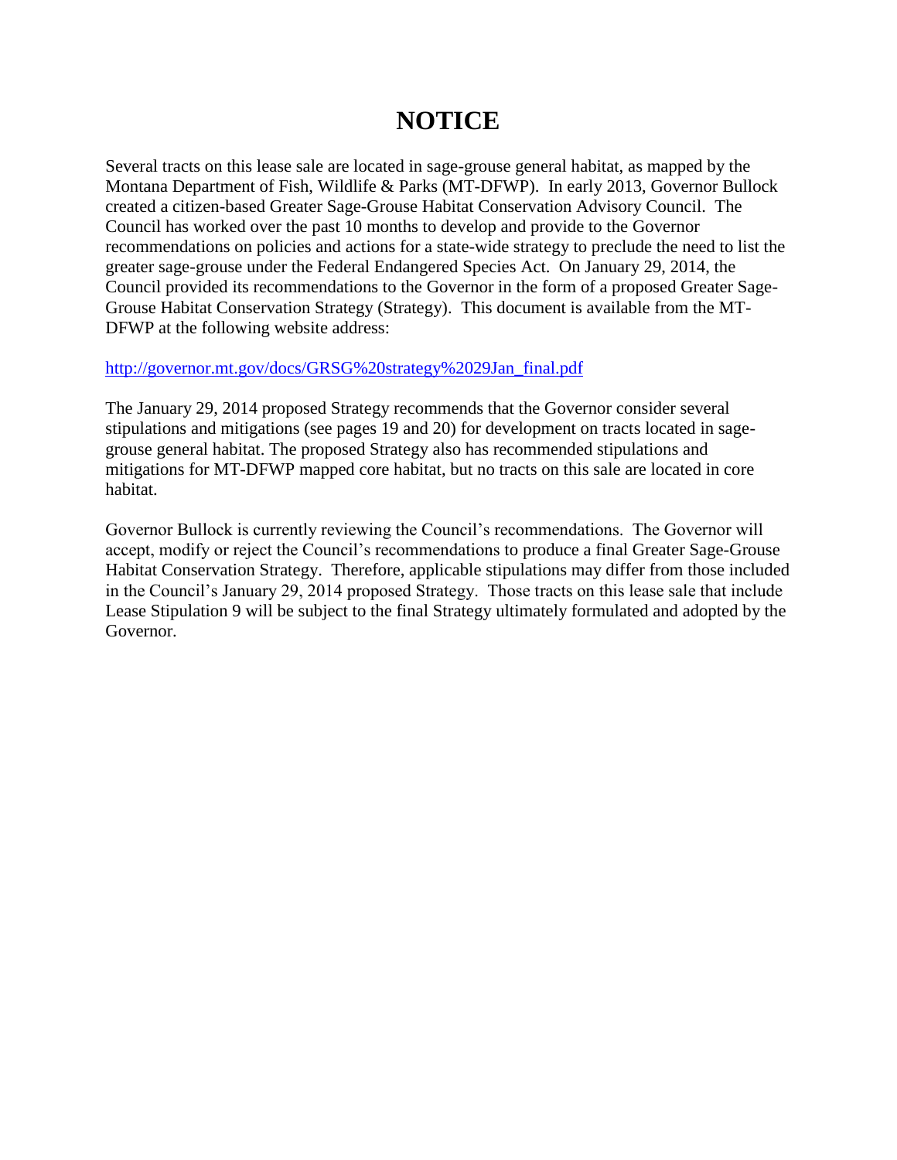# **NOTICE**

Several tracts on this lease sale are located in sage-grouse general habitat, as mapped by the Montana Department of Fish, Wildlife & Parks (MT-DFWP). In early 2013, Governor Bullock created a citizen-based Greater Sage-Grouse Habitat Conservation Advisory Council. The Council has worked over the past 10 months to develop and provide to the Governor recommendations on policies and actions for a state-wide strategy to preclude the need to list the greater sage-grouse under the Federal Endangered Species Act. On January 29, 2014, the Council provided its recommendations to the Governor in the form of a proposed Greater Sage-Grouse Habitat Conservation Strategy (Strategy). This document is available from the MT-DFWP at the following website address:

### [http://governor.mt.gov/docs/GRSG%20strategy%2029Jan\\_final.pdf](http://governor.mt.gov/docs/GRSG%20strategy%2029Jan_final.pdf)

The January 29, 2014 proposed Strategy recommends that the Governor consider several stipulations and mitigations (see pages 19 and 20) for development on tracts located in sagegrouse general habitat. The proposed Strategy also has recommended stipulations and mitigations for MT-DFWP mapped core habitat, but no tracts on this sale are located in core habitat.

Governor Bullock is currently reviewing the Council's recommendations. The Governor will accept, modify or reject the Council's recommendations to produce a final Greater Sage-Grouse Habitat Conservation Strategy. Therefore, applicable stipulations may differ from those included in the Council's January 29, 2014 proposed Strategy. Those tracts on this lease sale that include Lease Stipulation 9 will be subject to the final Strategy ultimately formulated and adopted by the Governor.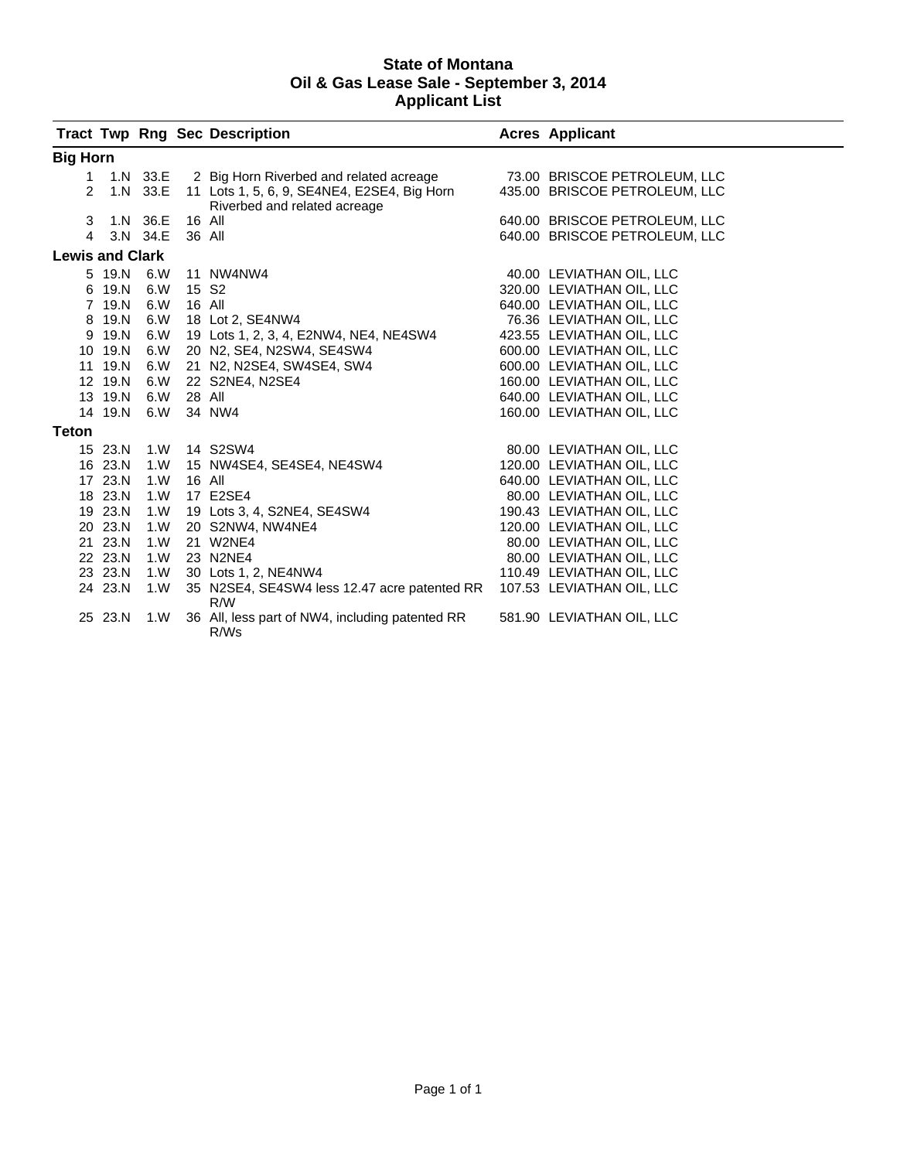### **State of Montana Oil & Gas Lease Sale - September 3, 2014 Applicant List**

|                        |                   |                 |                   | <b>Tract Twp Rng Sec Description</b>                                                   | <b>Acres Applicant</b>        |
|------------------------|-------------------|-----------------|-------------------|----------------------------------------------------------------------------------------|-------------------------------|
| <b>Big Horn</b>        |                   |                 |                   |                                                                                        |                               |
|                        |                   |                 |                   | 1 1.N 33.E 2 Big Horn Riverbed and related acreage 73.00 BRISCOE PETROLEUM, LLC        |                               |
|                        |                   |                 |                   | 2 1.N 33.E 11 Lots 1, 5, 6, 9, SE4NE4, E2SE4, Big Horn<br>Riverbed and related acreage | 435.00 BRISCOE PETROLEUM, LLC |
|                        | 3 1.N 36.E 16 All |                 |                   |                                                                                        | 640.00 BRISCOE PETROLEUM, LLC |
| $\overline{4}$         |                   | 3.N 34.E 36 All |                   |                                                                                        | 640.00 BRISCOE PETROLEUM, LLC |
| <b>Lewis and Clark</b> |                   |                 |                   |                                                                                        |                               |
|                        | 5 19.N 6.W        |                 |                   | 11 NW4NW4                                                                              | 40.00 LEVIATHAN OIL, LLC      |
|                        | 6 19.N 6.W        |                 | 15 S <sub>2</sub> |                                                                                        | 320.00 LEVIATHAN OIL, LLC     |
|                        | 7 19.N 6.W        |                 |                   | 16 All                                                                                 | 640.00 LEVIATHAN OIL, LLC     |
|                        | 8 19.N 6.W        |                 |                   | 18 Lot 2, SE4NW4                                                                       | 76.36 LEVIATHAN OIL, LLC      |
|                        | 9 19.N 6.W        |                 |                   | 19 Lots 1, 2, 3, 4, E2NW4, NE4, NE4SW4                                                 | 423.55 LEVIATHAN OIL, LLC     |
|                        | 10 19.N 6.W       |                 |                   | 20 N2, SE4, N2SW4, SE4SW4                                                              | 600.00 LEVIATHAN OIL, LLC     |
|                        | 11 19.N 6.W       |                 |                   | 21 N2, N2SE4, SW4SE4, SW4                                                              | 600.00 LEVIATHAN OIL, LLC     |
|                        | 12 19.N 6.W       |                 |                   | 22 S2NE4, N2SE4                                                                        | 160.00 LEVIATHAN OIL, LLC     |
|                        | 13 19.N 6.W       |                 | 28 All            |                                                                                        | 640.00 LEVIATHAN OIL, LLC     |
|                        | 14 19.N 6.W       |                 |                   | 34 NW4                                                                                 | 160.00 LEVIATHAN OIL, LLC     |
| <b>Teton</b>           |                   |                 |                   |                                                                                        |                               |
|                        |                   |                 |                   | 15 23.N 1.W 14 S2SW4                                                                   | 80.00 LEVIATHAN OIL, LLC      |
|                        | 16 23.N 1.W       |                 |                   | 15 NW4SE4, SE4SE4, NE4SW4                                                              | 120.00 LEVIATHAN OIL, LLC     |
|                        | 17 23.N           | 1.W             |                   | 16 All                                                                                 | 640.00 LEVIATHAN OIL, LLC     |
|                        | 18 23.N 1.W       |                 |                   | 17 E2SE4                                                                               | 80.00 LEVIATHAN OIL, LLC      |
|                        | 19 23.N 1.W       |                 |                   | 19 Lots 3, 4, S2NE4, SE4SW4<br>20 S2NW4, NW4NE4<br>21 W2NE4                            | 190.43 LEVIATHAN OIL, LLC     |
|                        | 20 23.N           | 1. W            |                   |                                                                                        | 120.00 LEVIATHAN OIL, LLC     |
|                        | 21 23.N           | 1. W            |                   |                                                                                        | 80.00 LEVIATHAN OIL, LLC      |
|                        | 22 23.N           | 1. W            |                   | 23 N2NE4                                                                               | 80.00 LEVIATHAN OIL, LLC      |
|                        | 23 23.N 1.W       |                 |                   | 30 Lots 1, 2, NE4NW4                                                                   | 110.49 LEVIATHAN OIL, LLC     |
|                        | 24 23.N 1.W       |                 |                   | 35 N2SE4, SE4SW4 less 12.47 acre patented RR 107.53 LEVIATHAN OIL, LLC<br>R/W          |                               |
|                        | 25 23.N 1.W       |                 |                   | 36 All, less part of NW4, including patented RR<br>R/Ws                                | 581.90 LEVIATHAN OIL, LLC     |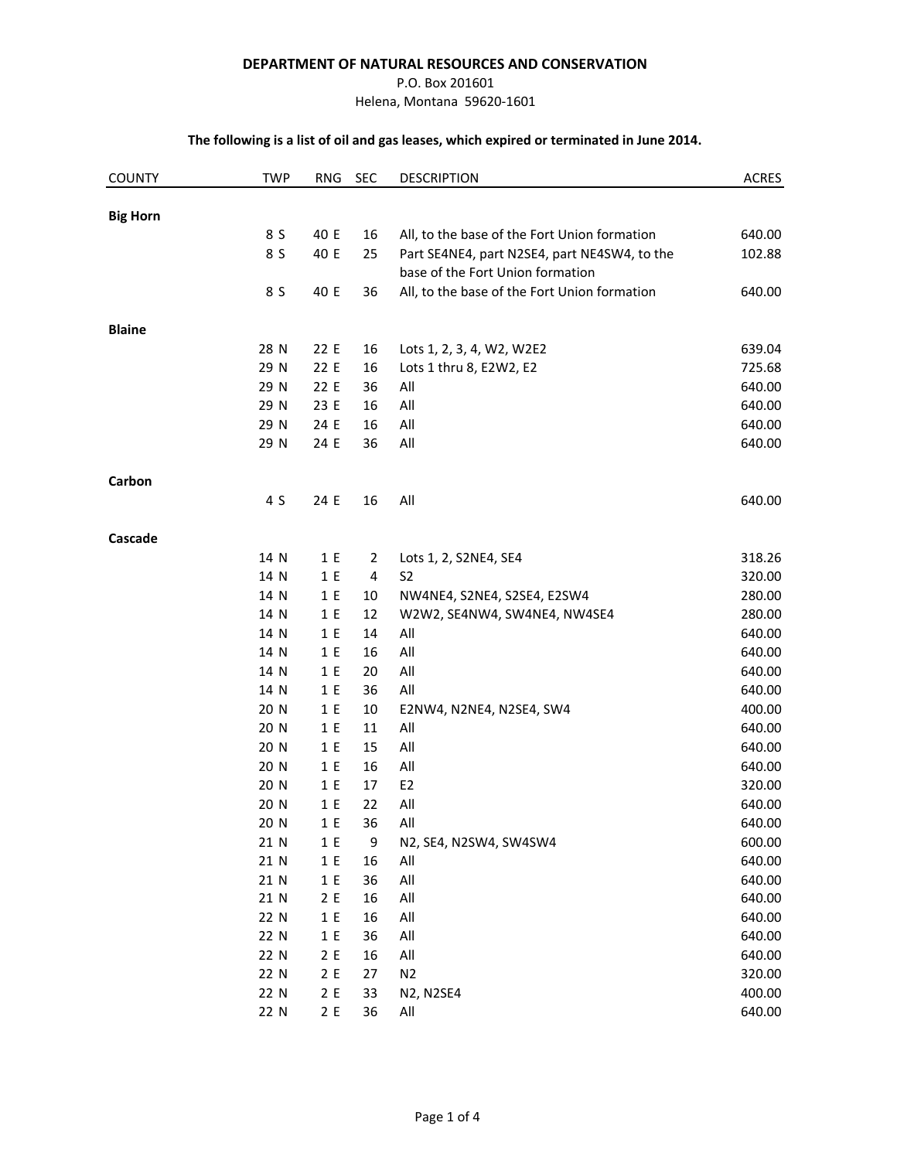#### **DEPARTMENT OF NATURAL RESOURCES AND CONSERVATION**

#### P.O. Box 201601

Helena, Montana 59620-1601

#### **The following is a list of oil and gas leases, which expired or terminated in June 2014.**

| <b>COUNTY</b>   | <b>TWP</b> | <b>RNG</b> | <b>SEC</b>     | <b>DESCRIPTION</b>                           | <b>ACRES</b> |
|-----------------|------------|------------|----------------|----------------------------------------------|--------------|
|                 |            |            |                |                                              |              |
| <b>Big Horn</b> | 8 S        | 40 E       | 16             | All, to the base of the Fort Union formation | 640.00       |
|                 | 8 S        | 40 E       | 25             | Part SE4NE4, part N2SE4, part NE4SW4, to the | 102.88       |
|                 |            |            |                | base of the Fort Union formation             |              |
|                 | 8 S        | 40 E       | 36             | All, to the base of the Fort Union formation | 640.00       |
| <b>Blaine</b>   |            |            |                |                                              |              |
|                 | 28 N       | 22 E       | 16             | Lots 1, 2, 3, 4, W2, W2E2                    | 639.04       |
|                 | 29 N       | 22 E       | 16             | Lots 1 thru 8, E2W2, E2                      | 725.68       |
|                 | 29 N       | 22 E       | 36             | All                                          | 640.00       |
|                 | 29 N       | 23 E       | 16             | All                                          | 640.00       |
|                 | 29 N       | 24 E       | 16             | All                                          | 640.00       |
|                 | 29 N       | 24 E       | 36             | All                                          | 640.00       |
| Carbon          |            |            |                |                                              |              |
|                 | 4 S        | 24 E       | 16             | All                                          | 640.00       |
| Cascade         |            |            |                |                                              |              |
|                 | 14 N       | 1E         | $\overline{2}$ | Lots 1, 2, S2NE4, SE4                        | 318.26       |
|                 | 14 N       | 1E         | 4              | S <sub>2</sub>                               | 320.00       |
|                 | 14 N       | 1 E        | 10             | NW4NE4, S2NE4, S2SE4, E2SW4                  | 280.00       |
|                 | 14 N       | 1 E        | 12             | W2W2, SE4NW4, SW4NE4, NW4SE4                 | 280.00       |
|                 | 14 N       | 1E         | 14             | All                                          | 640.00       |
|                 | 14 N       | 1E         | 16             | All                                          | 640.00       |
|                 | 14 N       | 1 E        | 20             | All                                          | 640.00       |
|                 | 14 N       | 1 E        | 36             | All                                          | 640.00       |
|                 | 20 N       | 1E         | 10             | E2NW4, N2NE4, N2SE4, SW4                     | 400.00       |
|                 | 20 N       | 1E         | 11             | All                                          | 640.00       |
|                 | 20 N       | 1 E        | 15             | All                                          | 640.00       |
|                 | 20 N       | 1E         | 16             | All                                          | 640.00       |
|                 | 20 N       | 1E         | 17             | E <sub>2</sub>                               | 320.00       |
|                 | 20 N       | 1E         | 22             | All                                          | 640.00       |
|                 | 20 N       | 1 E        | 36             | All                                          | 640.00       |
|                 | 21 N       | 1 E        | 9              | N2, SE4, N2SW4, SW4SW4                       | 600.00       |
|                 | 21 N       | 1 E        | 16             | All                                          | 640.00       |
|                 | 21 N       | 1 E        | 36             | All                                          | 640.00       |
|                 | 21 N       | 2E         | 16             | All                                          | 640.00       |
|                 | 22 N       | 1 E        | 16             | $\mathsf{All}$                               | 640.00       |
|                 | 22 N       | 1 E        | 36             | All                                          | 640.00       |
|                 | 22 N       | 2E         | 16             | All                                          | 640.00       |
|                 | 22 N       | 2E         | 27             | N <sub>2</sub>                               | 320.00       |
|                 | 22 N       | 2E         | 33             | <b>N2, N2SE4</b>                             | 400.00       |
|                 | 22 N       | 2E         | 36             | All                                          | 640.00       |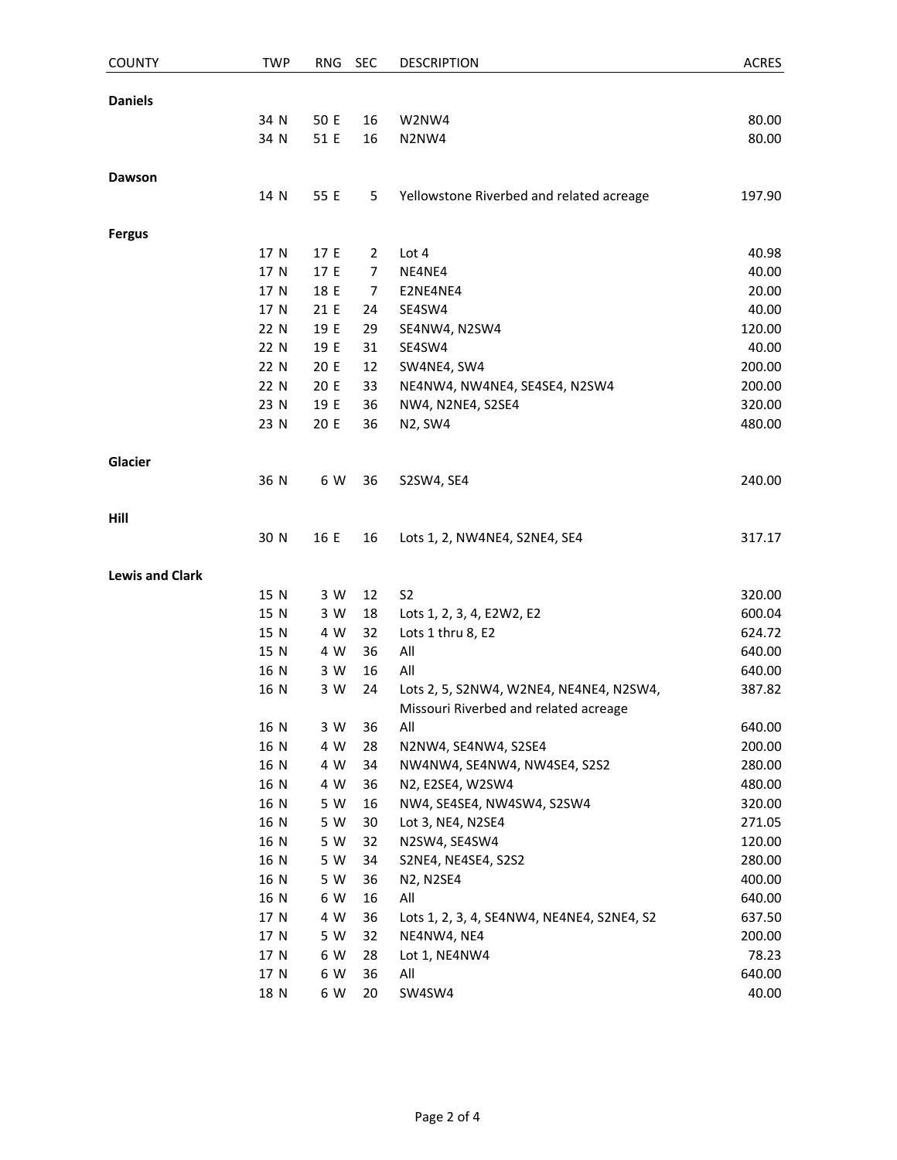| <b>COUNTY</b>          | <b>TWP</b> | <b>RNG</b> | <b>SEC</b>     | <b>DESCRIPTION</b>                         | <b>ACRES</b> |
|------------------------|------------|------------|----------------|--------------------------------------------|--------------|
|                        |            |            |                |                                            |              |
| <b>Daniels</b>         | 34 N       | 50 E       | 16             | W2NW4                                      | 80.00        |
|                        | 34 N       | 51 E       | 16             | N2NW4                                      | 80.00        |
|                        |            |            |                |                                            |              |
| Dawson                 |            |            |                |                                            |              |
|                        | 14 N       | 55 E       | 5              | Yellowstone Riverbed and related acreage   | 197.90       |
|                        |            |            |                |                                            |              |
| <b>Fergus</b>          |            |            |                |                                            |              |
|                        | 17 N       | 17 E       | $\overline{2}$ | Lot 4                                      | 40.98        |
|                        | 17 N       | 17 E       | $\overline{7}$ | NE4NE4                                     | 40.00        |
|                        | 17 N       | 18 E       | 7              | E2NE4NE4                                   | 20.00        |
|                        | 17 N       | 21 E       | 24             | SE4SW4                                     | 40.00        |
|                        | 22 N       | 19 E       | 29             | SE4NW4, N2SW4                              | 120.00       |
|                        | 22 N       | 19 E       | 31             | SE4SW4                                     | 40.00        |
|                        | 22 N       | 20 E       | 12             | SW4NE4, SW4                                | 200.00       |
|                        | 22 N       | 20 E       | 33             | NE4NW4, NW4NE4, SE4SE4, N2SW4              | 200.00       |
|                        | 23 N       | 19 E       | 36             | NW4, N2NE4, S2SE4                          | 320.00       |
|                        | 23 N       | 20 E       | 36             | <b>N2, SW4</b>                             | 480.00       |
| Glacier                |            |            |                |                                            |              |
|                        | 36 N       | 6 W        | 36             | S2SW4, SE4                                 | 240.00       |
|                        |            |            |                |                                            |              |
| Hill                   |            |            |                |                                            |              |
|                        | 30 N       | 16 E       | 16             | Lots 1, 2, NW4NE4, S2NE4, SE4              | 317.17       |
| <b>Lewis and Clark</b> |            |            |                |                                            |              |
|                        | 15 N       | 3 W        | 12             | S <sub>2</sub>                             | 320.00       |
|                        | 15 N       | 3 W        | 18             | Lots 1, 2, 3, 4, E2W2, E2                  | 600.04       |
|                        | 15 N       | 4 W        | 32             | Lots 1 thru 8, E2                          | 624.72       |
|                        | 15 N       | 4 W        | 36             | All                                        | 640.00       |
|                        | 16 N       | 3 W        | 16             | All                                        | 640.00       |
|                        | 16 N       | 3 W        | 24             | Lots 2, 5, S2NW4, W2NE4, NE4NE4, N2SW4,    | 387.82       |
|                        |            |            |                | Missouri Riverbed and related acreage      |              |
|                        | 16 N       | 3 W        | 36             | All                                        | 640.00       |
|                        | 16 N       | 4 W        | 28             | N2NW4, SE4NW4, S2SE4                       | 200.00       |
|                        | 16 N       | 4 W        | 34             | NW4NW4, SE4NW4, NW4SE4, S2S2               | 280.00       |
|                        | 16 N       | 4 W        | 36             | N2, E2SE4, W2SW4                           | 480.00       |
|                        | 16 N       | 5 W        | 16             | NW4, SE4SE4, NW4SW4, S2SW4                 | 320.00       |
|                        | 16 N       | 5 W        | 30             | Lot 3, NE4, N2SE4                          | 271.05       |
|                        | 16 N       | 5 W        | 32             | N2SW4, SE4SW4                              | 120.00       |
|                        | 16 N       | 5 W        | 34             | S2NE4, NE4SE4, S2S2                        | 280.00       |
|                        | 16 N       | 5 W        | 36             | <b>N2, N2SE4</b>                           | 400.00       |
|                        | 16 N       | 6 W        | 16             | All                                        | 640.00       |
|                        | 17 N       | 4 W        | 36             | Lots 1, 2, 3, 4, SE4NW4, NE4NE4, S2NE4, S2 | 637.50       |
|                        | 17 N       | 5 W        | 32             | NE4NW4, NE4                                | 200.00       |
|                        | 17 N       | 6 W        | 28             | Lot 1, NE4NW4                              | 78.23        |
|                        | 17 N       | 6 W        | 36             | All                                        | 640.00       |
|                        | 18 N       | 6 W        | 20             | SW4SW4                                     | 40.00        |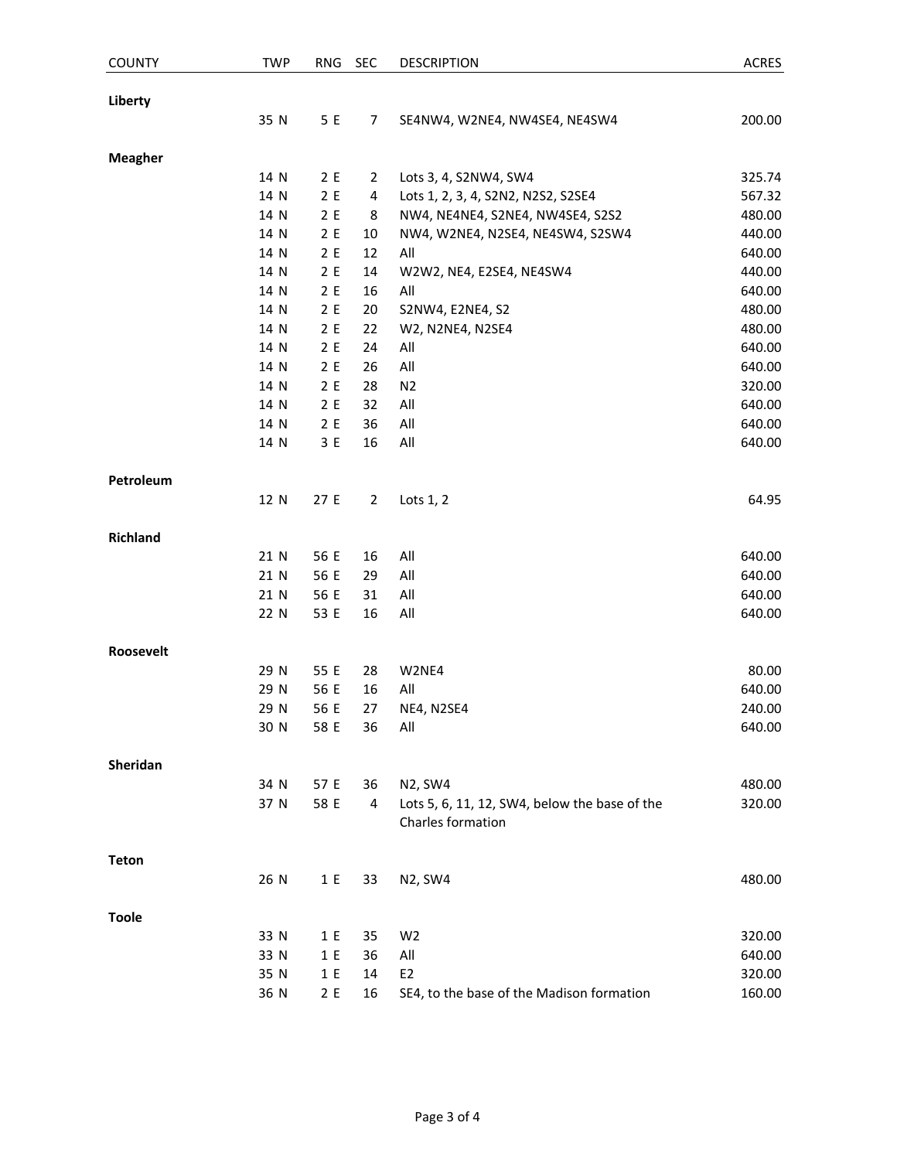| <b>COUNTY</b>   | <b>TWP</b> | <b>RNG</b> | <b>SEC</b>     | <b>DESCRIPTION</b>                                                 | <b>ACRES</b> |
|-----------------|------------|------------|----------------|--------------------------------------------------------------------|--------------|
| Liberty         |            |            |                |                                                                    |              |
|                 | 35 N       | 5 E        | 7              | SE4NW4, W2NE4, NW4SE4, NE4SW4                                      | 200.00       |
| <b>Meagher</b>  |            |            |                |                                                                    |              |
|                 | 14 N       | 2E         | 2              | Lots 3, 4, S2NW4, SW4                                              | 325.74       |
|                 | 14 N       | 2E         | 4              | Lots 1, 2, 3, 4, S2N2, N2S2, S2SE4                                 | 567.32       |
|                 | 14 N       | 2E         | 8              | NW4, NE4NE4, S2NE4, NW4SE4, S2S2                                   | 480.00       |
|                 | 14 N       | 2E         | 10             | NW4, W2NE4, N2SE4, NE4SW4, S2SW4                                   | 440.00       |
|                 | 14 N       | 2E         | 12             | All                                                                | 640.00       |
|                 | 14 N       | 2E         | 14             | W2W2, NE4, E2SE4, NE4SW4                                           | 440.00       |
|                 | 14 N       | 2E         | 16             | All                                                                | 640.00       |
|                 | 14 N       | 2E         | 20             | S2NW4, E2NE4, S2                                                   | 480.00       |
|                 | 14 N       | 2E         | 22             | W2, N2NE4, N2SE4                                                   | 480.00       |
|                 | 14 N       | 2E         | 24             | All                                                                | 640.00       |
|                 | 14 N       | 2E         | 26             | All                                                                | 640.00       |
|                 | 14 N       | 2E         | 28             | N <sub>2</sub>                                                     | 320.00       |
|                 | 14 N       | 2E         | 32             | All                                                                | 640.00       |
|                 | 14 N       | 2E         | 36             | All                                                                | 640.00       |
|                 | 14 N       | 3 E        | 16             | All                                                                | 640.00       |
| Petroleum       |            |            |                |                                                                    |              |
|                 | 12 N       | 27 E       | $\overline{2}$ | Lots $1, 2$                                                        | 64.95        |
| <b>Richland</b> |            |            |                |                                                                    |              |
|                 | 21 N       | 56 E       | 16             | All                                                                | 640.00       |
|                 | 21 N       | 56 E       | 29             | All                                                                | 640.00       |
|                 | 21 N       | 56 E       | 31             | All                                                                | 640.00       |
|                 | 22 N       | 53 E       | 16             | All                                                                | 640.00       |
| Roosevelt       |            |            |                |                                                                    |              |
|                 | 29 N       | 55 E       | 28             | W2NE4                                                              | 80.00        |
|                 | 29 N       | 56 E       | 16             | All                                                                | 640.00       |
|                 | 29 N       | 56 E       | 27             | NE4, N2SE4                                                         | 240.00       |
|                 | 30 N       | 58 E       | 36             | All                                                                | 640.00       |
| Sheridan        |            |            |                |                                                                    |              |
|                 | 34 N       | 57 E       | 36             | N2, SW4                                                            | 480.00       |
|                 | 37 N       | 58 E       | $\overline{4}$ | Lots 5, 6, 11, 12, SW4, below the base of the<br>Charles formation | 320.00       |
| <b>Teton</b>    |            |            |                |                                                                    |              |
|                 | 26 N       | 1 E        | 33             | N2, SW4                                                            | 480.00       |
| <b>Toole</b>    |            |            |                |                                                                    |              |
|                 | 33 N       | 1 E        | 35             | W <sub>2</sub>                                                     | 320.00       |
|                 | 33 N       | 1 E        | 36             | All                                                                | 640.00       |
|                 | 35 N       | 1 E        | 14             | E <sub>2</sub>                                                     | 320.00       |
|                 | 36 N       | 2E         |                | 16 SE4, to the base of the Madison formation                       | 160.00       |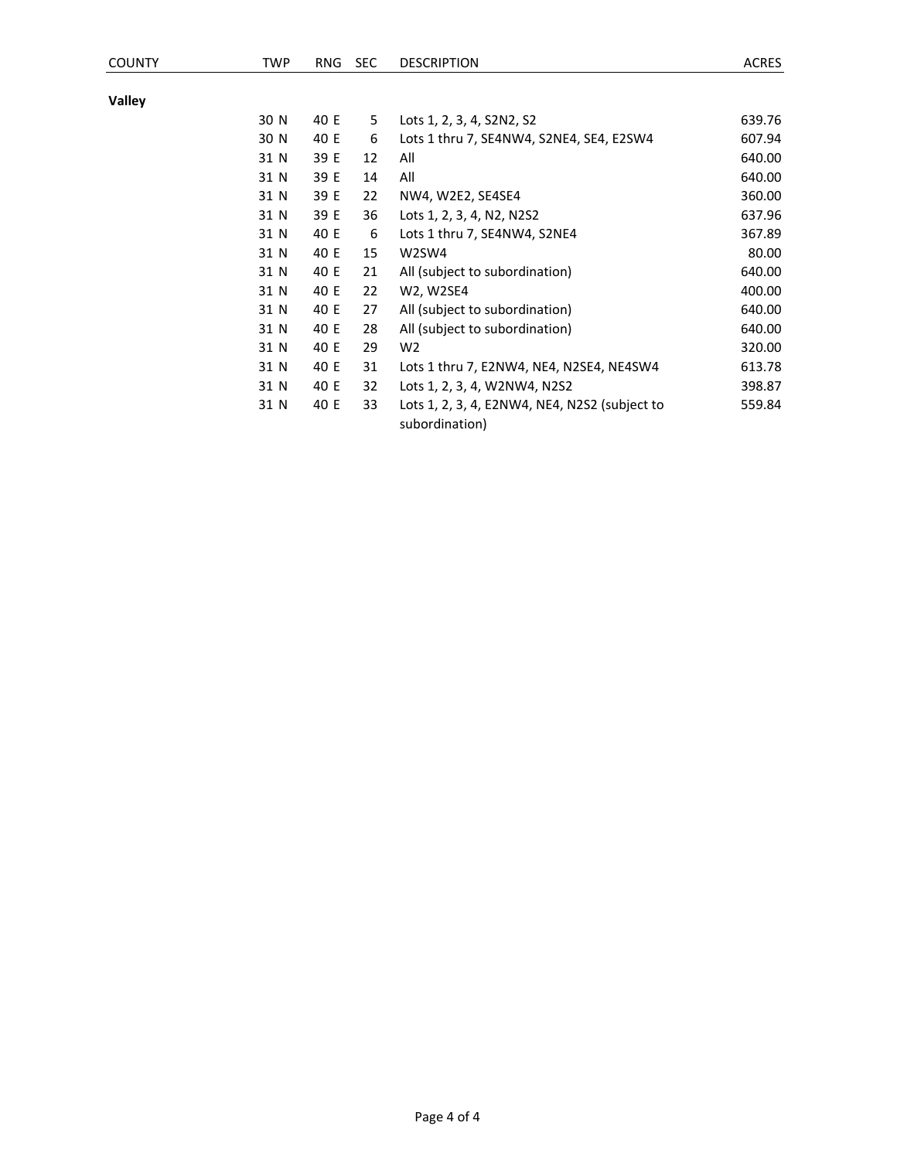**Valley**

| 30 N | 40 E | 5. | Lots 1, 2, 3, 4, S2N2, S2                                       | 639.76 |
|------|------|----|-----------------------------------------------------------------|--------|
| 30 N | 40 E | 6  | Lots 1 thru 7, SE4NW4, S2NE4, SE4, E2SW4                        | 607.94 |
| 31 N | 39 E | 12 | All                                                             | 640.00 |
| 31 N | 39 E | 14 | All                                                             | 640.00 |
| 31 N | 39 E | 22 | NW4, W2E2, SE4SE4                                               | 360.00 |
| 31 N | 39 E | 36 | Lots 1, 2, 3, 4, N2, N2S2                                       | 637.96 |
| 31 N | 40 E | 6  | Lots 1 thru 7, SE4NW4, S2NE4                                    | 367.89 |
| 31 N | 40 E | 15 | W2SW4                                                           | 80.00  |
| 31 N | 40 E | 21 | All (subject to subordination)                                  | 640.00 |
| 31 N | 40 E | 22 | W2, W2SE4                                                       | 400.00 |
| 31 N | 40 E | 27 | All (subject to subordination)                                  | 640.00 |
| 31 N | 40 E | 28 | All (subject to subordination)                                  | 640.00 |
| 31 N | 40 E | 29 | W2                                                              | 320.00 |
| 31 N | 40 E | 31 | Lots 1 thru 7, E2NW4, NE4, N2SE4, NE4SW4                        | 613.78 |
| 31 N | 40 E | 32 | Lots 1, 2, 3, 4, W2NW4, N2S2                                    | 398.87 |
| 31 N | 40 E | 33 | Lots 1, 2, 3, 4, E2NW4, NE4, N2S2 (subject to<br>subordination) | 559.84 |